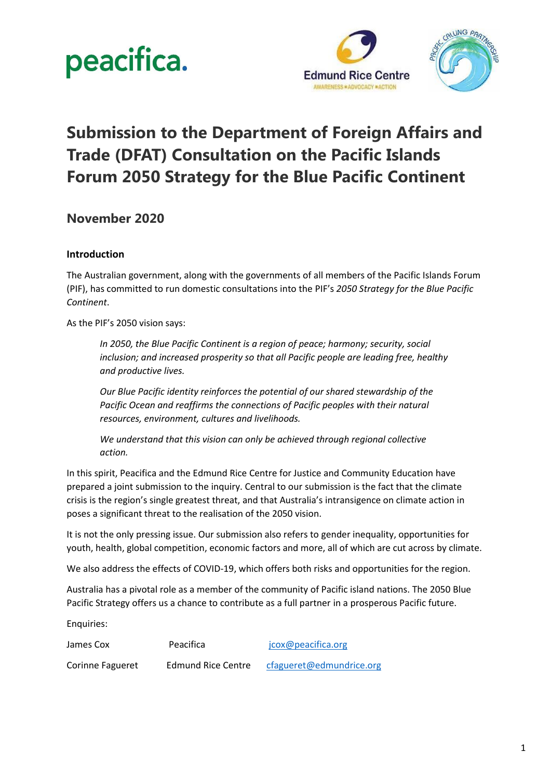



### **Submission to the Department of Foreign Affairs and Trade (DFAT) Consultation on the Pacific Islands Forum 2050 Strategy for the Blue Pacific Continent**

**November 2020**

#### **Introduction**

The Australian government, along with the governments of all members of the Pacific Islands Forum (PIF), has committed to run domestic consultations into the PIF's *2050 Strategy for the Blue Pacific Continent*.

As the PIF's 2050 vision says:

*In 2050, the Blue Pacific Continent is a region of peace; harmony; security, social inclusion; and increased prosperity so that all Pacific people are leading free, healthy and productive lives.*

*Our Blue Pacific identity reinforces the potential of our shared stewardship of the Pacific Ocean and reaffirms the connections of Pacific peoples with their natural resources, environment, cultures and livelihoods.*

*We understand that this vision can only be achieved through regional collective action.*

In this spirit, Peacifica and the Edmund Rice Centre for Justice and Community Education have prepared a joint submission to the inquiry. Central to our submission is the fact that the climate crisis is the region's single greatest threat, and that Australia's intransigence on climate action in poses a significant threat to the realisation of the 2050 vision.

It is not the only pressing issue. Our submission also refers to gender inequality, opportunities for youth, health, global competition, economic factors and more, all of which are cut across by climate.

We also address the effects of COVID-19, which offers both risks and opportunities for the region.

Australia has a pivotal role as a member of the community of Pacific island nations. The 2050 Blue Pacific Strategy offers us a chance to contribute as a full partner in a prosperous Pacific future.

Enquiries:

| James Cox        | Peacifica                 | jcox@peacifica.org       |
|------------------|---------------------------|--------------------------|
| Corinne Fagueret | <b>Edmund Rice Centre</b> | cfagueret@edmundrice.org |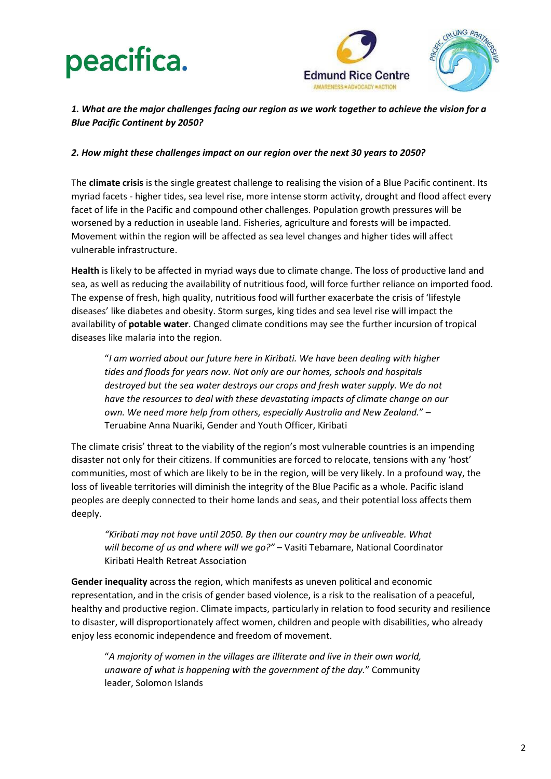

#### *1. What are the major challenges facing our region as we work together to achieve the vision for a Blue Pacific Continent by 2050?*

#### *2. How might these challenges impact on our region over the next 30 years to 2050?*

The **climate crisis** is the single greatest challenge to realising the vision of a Blue Pacific continent. Its myriad facets - higher tides, sea level rise, more intense storm activity, drought and flood affect every facet of life in the Pacific and compound other challenges. Population growth pressures will be worsened by a reduction in useable land. Fisheries, agriculture and forests will be impacted. Movement within the region will be affected as sea level changes and higher tides will affect vulnerable infrastructure.

**Health** is likely to be affected in myriad ways due to climate change. The loss of productive land and sea, as well as reducing the availability of nutritious food, will force further reliance on imported food. The expense of fresh, high quality, nutritious food will further exacerbate the crisis of 'lifestyle diseases' like diabetes and obesity. Storm surges, king tides and sea level rise will impact the availability of **potable water**. Changed climate conditions may see the further incursion of tropical diseases like malaria into the region.

"*I am worried about our future here in Kiribati. We have been dealing with higher tides and floods for years now. Not only are our homes, schools and hospitals destroyed but the sea water destroys our crops and fresh water supply. We do not have the resources to deal with these devastating impacts of climate change on our own. We need more help from others, especially Australia and New Zealand.*" – Teruabine Anna Nuariki, Gender and Youth Officer, Kiribati

The climate crisis' threat to the viability of the region's most vulnerable countries is an impending disaster not only for their citizens. If communities are forced to relocate, tensions with any 'host' communities, most of which are likely to be in the region, will be very likely. In a profound way, the loss of liveable territories will diminish the integrity of the Blue Pacific as a whole. Pacific island peoples are deeply connected to their home lands and seas, and their potential loss affects them deeply.

*"Kiribati may not have until 2050. By then our country may be unliveable. What will become of us and where will we go?"* – Vasiti Tebamare, National Coordinator Kiribati Health Retreat Association

**Gender inequality** across the region, which manifests as uneven political and economic representation, and in the crisis of gender based violence, is a risk to the realisation of a peaceful, healthy and productive region. Climate impacts, particularly in relation to food security and resilience to disaster, will disproportionately affect women, children and people with disabilities, who already enjoy less economic independence and freedom of movement.

"*A majority of women in the villages are illiterate and live in their own world, unaware of what is happening with the government of the day.*" Community leader, Solomon Islands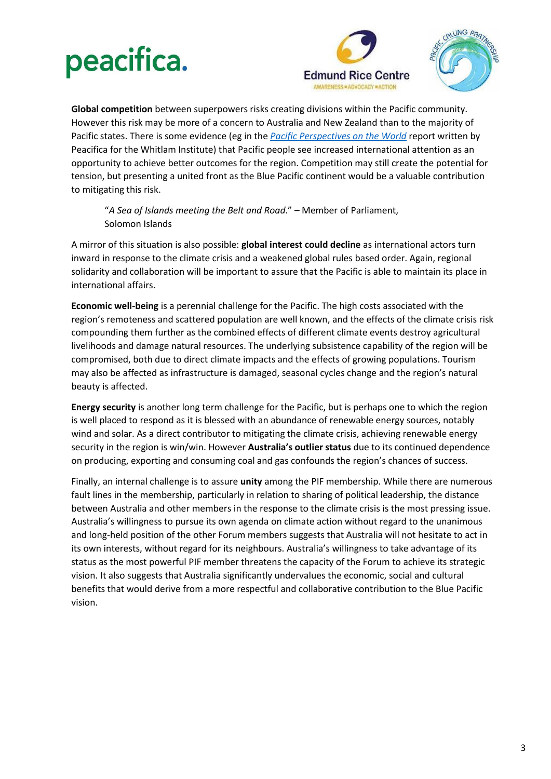



**Global competition** between superpowers risks creating divisions within the Pacific community. However this risk may be more of a concern to Australia and New Zealand than to the majority of Pacific states. There is some evidence (eg in the *[Pacific Perspectives on the World](https://www.whitlam.org/publications/2020/2/13/pacific-perspectives-on-the-world)* report written by Peacifica for the Whitlam Institute) that Pacific people see increased international attention as an opportunity to achieve better outcomes for the region. Competition may still create the potential for tension, but presenting a united front as the Blue Pacific continent would be a valuable contribution to mitigating this risk.

"*A Sea of Islands meeting the Belt and Road*." – Member of Parliament, Solomon Islands

A mirror of this situation is also possible: **global interest could decline** as international actors turn inward in response to the climate crisis and a weakened global rules based order. Again, regional solidarity and collaboration will be important to assure that the Pacific is able to maintain its place in international affairs.

**Economic well-being** is a perennial challenge for the Pacific. The high costs associated with the region's remoteness and scattered population are well known, and the effects of the climate crisis risk compounding them further as the combined effects of different climate events destroy agricultural livelihoods and damage natural resources. The underlying subsistence capability of the region will be compromised, both due to direct climate impacts and the effects of growing populations. Tourism may also be affected as infrastructure is damaged, seasonal cycles change and the region's natural beauty is affected.

**Energy security** is another long term challenge for the Pacific, but is perhaps one to which the region is well placed to respond as it is blessed with an abundance of renewable energy sources, notably wind and solar. As a direct contributor to mitigating the climate crisis, achieving renewable energy security in the region is win/win. However **Australia's outlier status** due to its continued dependence on producing, exporting and consuming coal and gas confounds the region's chances of success.

Finally, an internal challenge is to assure **unity** among the PIF membership. While there are numerous fault lines in the membership, particularly in relation to sharing of political leadership, the distance between Australia and other members in the response to the climate crisis is the most pressing issue. Australia's willingness to pursue its own agenda on climate action without regard to the unanimous and long-held position of the other Forum members suggests that Australia will not hesitate to act in its own interests, without regard for its neighbours. Australia's willingness to take advantage of its status as the most powerful PIF member threatens the capacity of the Forum to achieve its strategic vision. It also suggests that Australia significantly undervalues the economic, social and cultural benefits that would derive from a more respectful and collaborative contribution to the Blue Pacific vision.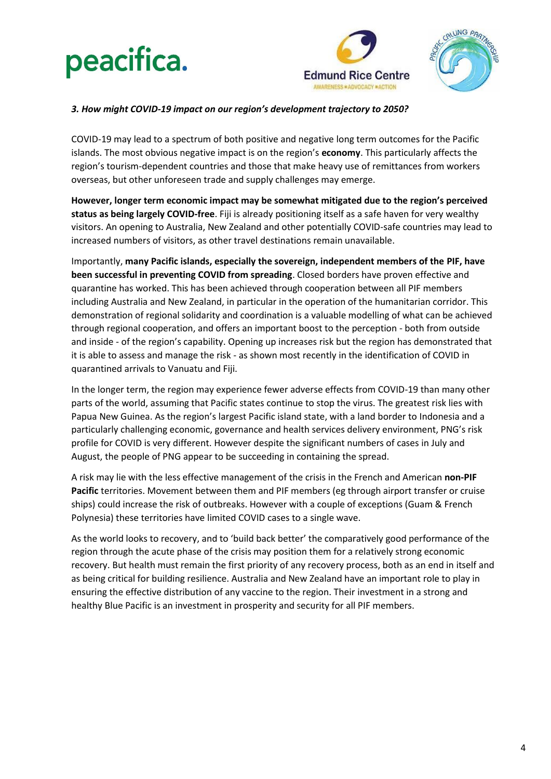



#### *3. How might COVID-19 impact on our region's development trajectory to 2050?*

COVID-19 may lead to a spectrum of both positive and negative long term outcomes for the Pacific islands. The most obvious negative impact is on the region's **economy**. This particularly affects the region's tourism-dependent countries and those that make heavy use of remittances from workers overseas, but other unforeseen trade and supply challenges may emerge.

**However, longer term economic impact may be somewhat mitigated due to the region's perceived status as being largely COVID-free**. Fiji is already positioning itself as a safe haven for very wealthy visitors. An opening to Australia, New Zealand and other potentially COVID-safe countries may lead to increased numbers of visitors, as other travel destinations remain unavailable.

Importantly, **many Pacific islands, especially the sovereign, independent members of the PIF, have been successful in preventing COVID from spreading**. Closed borders have proven effective and quarantine has worked. This has been achieved through cooperation between all PIF members including Australia and New Zealand, in particular in the operation of the humanitarian corridor. This demonstration of regional solidarity and coordination is a valuable modelling of what can be achieved through regional cooperation, and offers an important boost to the perception - both from outside and inside - of the region's capability. Opening up increases risk but the region has demonstrated that it is able to assess and manage the risk - as shown most recently in the identification of COVID in quarantined arrivals to Vanuatu and Fiji.

In the longer term, the region may experience fewer adverse effects from COVID-19 than many other parts of the world, assuming that Pacific states continue to stop the virus. The greatest risk lies with Papua New Guinea. As the region's largest Pacific island state, with a land border to Indonesia and a particularly challenging economic, governance and health services delivery environment, PNG's risk profile for COVID is very different. However despite the significant numbers of cases in July and August, the people of PNG appear to be succeeding in containing the spread.

A risk may lie with the less effective management of the crisis in the French and American **non-PIF Pacific** territories. Movement between them and PIF members (eg through airport transfer or cruise ships) could increase the risk of outbreaks. However with a couple of exceptions (Guam & French Polynesia) these territories have limited COVID cases to a single wave.

As the world looks to recovery, and to 'build back better' the comparatively good performance of the region through the acute phase of the crisis may position them for a relatively strong economic recovery. But health must remain the first priority of any recovery process, both as an end in itself and as being critical for building resilience. Australia and New Zealand have an important role to play in ensuring the effective distribution of any vaccine to the region. Their investment in a strong and healthy Blue Pacific is an investment in prosperity and security for all PIF members.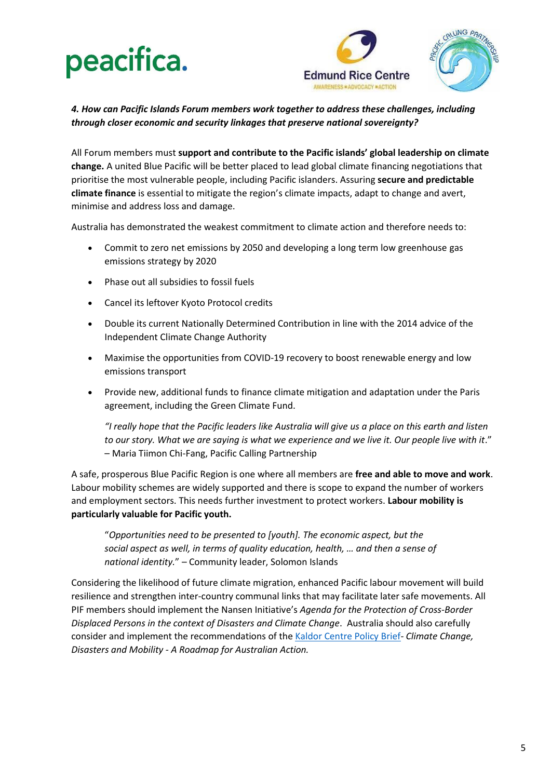



*4. How can Pacific Islands Forum members work together to address these challenges, including through closer economic and security linkages that preserve national sovereignty?*

All Forum members must **support and contribute to the Pacific islands' global leadership on climate change.** A united Blue Pacific will be better placed to lead global climate financing negotiations that prioritise the most vulnerable people, including Pacific islanders. Assuring **secure and predictable climate finance** is essential to mitigate the region's climate impacts, adapt to change and avert, minimise and address loss and damage.

Australia has demonstrated the weakest commitment to climate action and therefore needs to:

- Commit to zero net emissions by 2050 and developing a long term low greenhouse gas emissions strategy by 2020
- Phase out all subsidies to fossil fuels
- Cancel its leftover Kyoto Protocol credits
- Double its current Nationally Determined Contribution in line with the 2014 advice of the Independent Climate Change Authority
- Maximise the opportunities from COVID-19 recovery to boost renewable energy and low emissions transport
- Provide new, additional funds to finance climate mitigation and adaptation under the Paris agreement, including the Green Climate Fund.

*"I really hope that the Pacific leaders like Australia will give us a place on this earth and listen*  to our story. What we are saying is what we experience and we live it. Our people live with it." – Maria Tiimon Chi-Fang, Pacific Calling Partnership

A safe, prosperous Blue Pacific Region is one where all members are **free and able to move and work**. Labour mobility schemes are widely supported and there is scope to expand the number of workers and employment sectors. This needs further investment to protect workers. **Labour mobility is particularly valuable for Pacific youth.**

"*Opportunities need to be presented to [youth]. The economic aspect, but the social aspect as well, in terms of quality education, health, … and then a sense of national identity.*" – Community leader, Solomon Islands

Considering the likelihood of future climate migration, enhanced Pacific labour movement will build resilience and strengthen inter-country communal links that may facilitate later safe movements. All PIF members should implement the Nansen Initiative's *Agenda for the Protection of Cross-Border Displaced Persons in the context of Disasters and Climate Change*. Australia should also carefully consider and implement the recommendations of the [Kaldor Centre Policy Brief-](https://www.kaldorcentre.unsw.edu.au/publication/policy-brief-10-climate-change-disasters-and-mobility-roadmap-australian-action) *Climate Change, Disasters and Mobility - A Roadmap for Australian Action.*